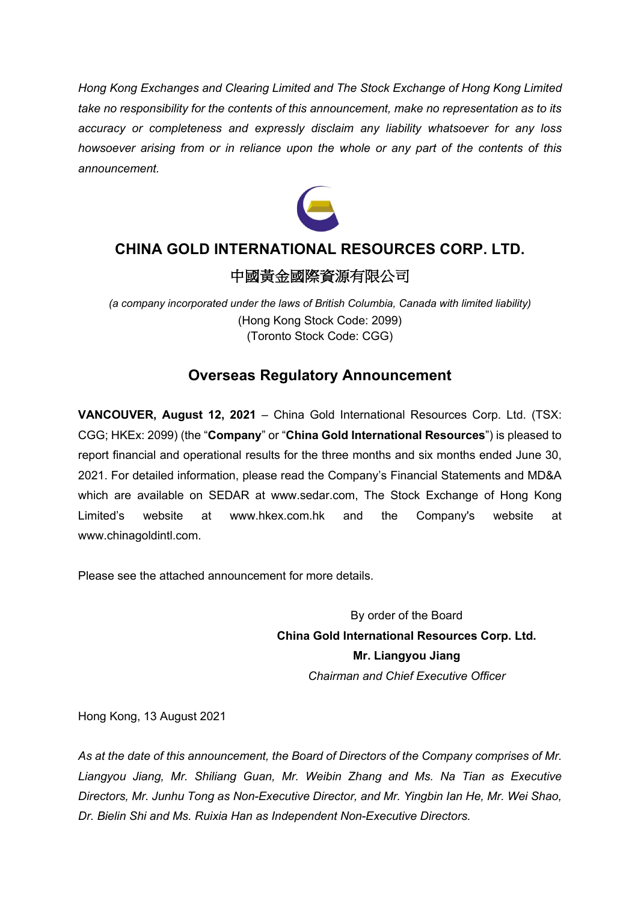*Hong Kong Exchanges and Clearing Limited and The Stock Exchange of Hong Kong Limited take no responsibility for the contents of this announcement, make no representation as to its accuracy or completeness and expressly disclaim any liability whatsoever for any loss howsoever arising from or in reliance upon the whole or any part of the contents of this announcement.*



## **CHINA GOLD INTERNATIONAL RESOURCES CORP. LTD.**

### 中國黃金國際資源有限公司

*(a company incorporated under the laws of British Columbia, Canada with limited liability)* (Hong Kong Stock Code: 2099) (Toronto Stock Code: CGG)

## **Overseas Regulatory Announcement**

**VANCOUVER, August 12, 2021** – China Gold International Resources Corp. Ltd. (TSX: CGG; HKEx: 2099) (the "**Company**" or "**China Gold International Resources**") is pleased to report financial and operational results for the three months and six months ended June 30, 2021. For detailed information, please read the Company's Financial Statements and MD&A which are available on SEDAR at www.sedar.com, The Stock Exchange of Hong Kong Limited's website at www.hkex.com.hk and the Company's website at www.chinagoldintl.com.

Please see the attached announcement for more details.

By order of the Board **China Gold International Resources Corp. Ltd. Mr. Liangyou Jiang** *Chairman and Chief Executive Officer*

Hong Kong, 13 August 2021

*As at the date of this announcement, the Board of Directors of the Company comprises of Mr. Liangyou Jiang, Mr. Shiliang Guan, Mr. Weibin Zhang and Ms. Na Tian as Executive Directors, Mr. Junhu Tong as Non-Executive Director, and Mr. Yingbin Ian He, Mr. Wei Shao, Dr. Bielin Shi and Ms. Ruixia Han as Independent Non-Executive Directors.*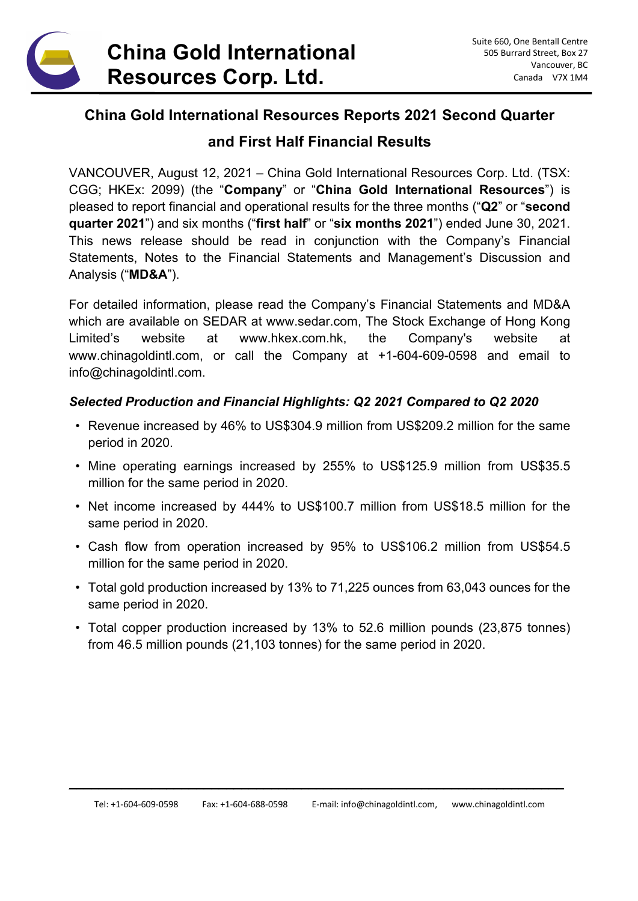

### **China Gold International Resources Reports 2021 Second Quarter**

### **and First Half Financial Results**

VANCOUVER, August 12, 2021 – China Gold International Resources Corp. Ltd. (TSX: CGG; HKEx: 2099) (the "**Company**" or "**China Gold International Resources**") is pleased to report financial and operational results for the three months ("**Q2**" or "**second quarter 2021**") and six months ("**first half**" or "**six months 2021**") ended June 30, 2021. This news release should be read in conjunction with the Company's Financial Statements, Notes to the Financial Statements and Management's Discussion and Analysis ("**MD&A**").

For detailed information, please read the Company's Financial Statements and MD&A which are available on SEDAR at www.sedar.com, The Stock Exchange of Hong Kong Limited's website at www.hkex.com.hk, the Company's website at www.chinagoldintl.com, or call the Company at +1-604-609-0598 and email to info@chinagoldintl.com.

### *Selected Production and Financial Highlights: Q2 2021 Compared to Q2 2020*

- Revenue increased by 46% to US\$304.9 million from US\$209.2 million for the same period in 2020.
- Mine operating earnings increased by 255% to US\$125.9 million from US\$35.5 million for the same period in 2020.
- Net income increased by 444% to US\$100.7 million from US\$18.5 million for the same period in 2020.
- Cash flow from operation increased by 95% to US\$106.2 million from US\$54.5 million for the same period in 2020.
- Total gold production increased by 13% to 71,225 ounces from 63,043 ounces for the same period in 2020.
- Total copper production increased by 13% to 52.6 million pounds (23,875 tonnes) from 46.5 million pounds (21,103 tonnes) for the same period in 2020.

\_\_\_\_\_\_\_\_\_\_\_\_\_\_\_\_\_\_\_\_\_\_\_\_\_\_\_\_\_\_\_\_\_\_\_\_\_\_\_\_\_\_\_\_\_\_\_\_\_\_\_\_\_\_\_\_\_\_\_\_\_\_\_\_\_\_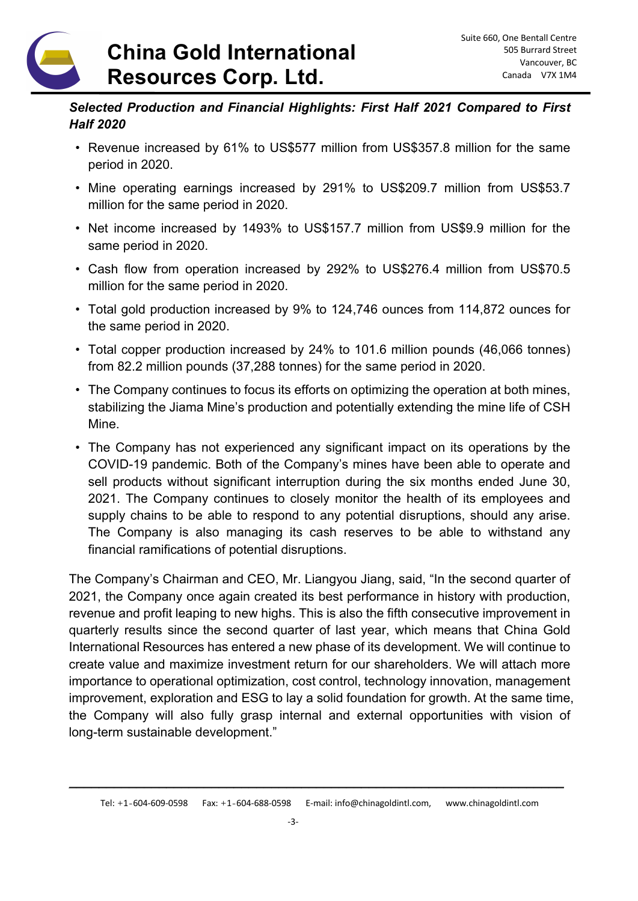## **China Gold International Resources Corp. Ltd.**

### *Selected Production and Financial Highlights: First Half 2021 Compared to First Half 2020*

- Revenue increased by 61% to US\$577 million from US\$357.8 million for the same period in 2020.
- Mine operating earnings increased by 291% to US\$209.7 million from US\$53.7 million for the same period in 2020.
- Net income increased by 1493% to US\$157.7 million from US\$9.9 million for the same period in 2020.
- Cash flow from operation increased by 292% to US\$276.4 million from US\$70.5 million for the same period in 2020.
- Total gold production increased by 9% to 124,746 ounces from 114,872 ounces for the same period in 2020.
- Total copper production increased by 24% to 101.6 million pounds (46,066 tonnes) from 82.2 million pounds (37,288 tonnes) for the same period in 2020.
- The Company continues to focus its efforts on optimizing the operation at both mines, stabilizing the Jiama Mine's production and potentially extending the mine life of CSH Mine.
- The Company has not experienced any significant impact on its operations by the COVID-19 pandemic. Both of the Company's mines have been able to operate and sell products without significant interruption during the six months ended June 30, 2021. The Company continues to closely monitor the health of its employees and supply chains to be able to respond to any potential disruptions, should any arise. The Company is also managing its cash reserves to be able to withstand any financial ramifications of potential disruptions.

The Company's Chairman and CEO, Mr. Liangyou Jiang, said, "In the second quarter of 2021, the Company once again created its best performance in history with production, revenue and profit leaping to new highs. This is also the fifth consecutive improvement in quarterly results since the second quarter of last year, which means that China Gold International Resources has entered a new phase of its development. We will continue to create value and maximize investment return for our shareholders. We will attach more importance to operational optimization, cost control, technology innovation, management improvement, exploration and ESG to lay a solid foundation for growth. At the same time, the Company will also fully grasp internal and external opportunities with vision of long-term sustainable development."

\_\_\_\_\_\_\_\_\_\_\_\_\_\_\_\_\_\_\_\_\_\_\_\_\_\_\_\_\_\_\_\_\_\_\_\_\_\_\_\_\_\_\_\_\_\_\_\_\_\_\_\_\_\_\_\_\_\_\_\_\_\_\_\_\_\_